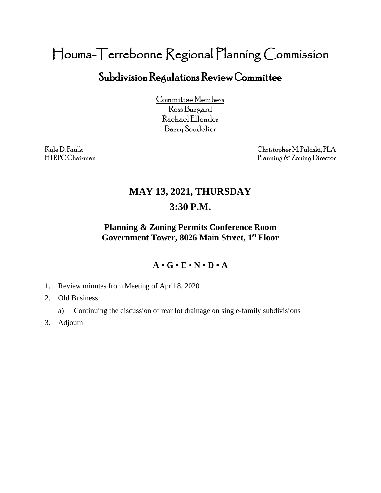## Houma-Terrebonne Regional Planning Commission

### Subdivision Regulations Review Committee

Committee Members Ross Burgard Rachael Ellender Barry Soudelier

Kyle D. Faulk Christopher M. Pulaski, PLA HTRPC Chairman Planning  $\delta$ <sup>-</sup> Zoning Director

## **MAY 13, 2021, THURSDAY 3:30 P.M.**

#### **Planning & Zoning Permits Conference Room Government Tower, 8026 Main Street, 1st Floor**

#### **A • G • E • N • D • A**

- 1. Review minutes from Meeting of April 8, 2020
- 2. Old Business
	- a) Continuing the discussion of rear lot drainage on single-family subdivisions
- 3. Adjourn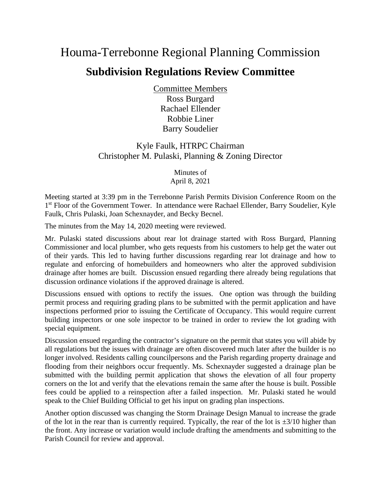# Houma-Terrebonne Regional Planning Commission **Subdivision Regulations Review Committee**

Committee Members Ross Burgard Rachael Ellender Robbie Liner Barry Soudelier

#### Kyle Faulk, HTRPC Chairman Christopher M. Pulaski, Planning & Zoning Director

Minutes of April 8, 2021

Meeting started at 3:39 pm in the Terrebonne Parish Permits Division Conference Room on the 1<sup>st</sup> Floor of the Government Tower. In attendance were Rachael Ellender, Barry Soudelier, Kyle Faulk, Chris Pulaski, Joan Schexnayder, and Becky Becnel.

The minutes from the May 14, 2020 meeting were reviewed.

Mr. Pulaski stated discussions about rear lot drainage started with Ross Burgard, Planning Commissioner and local plumber, who gets requests from his customers to help get the water out of their yards. This led to having further discussions regarding rear lot drainage and how to regulate and enforcing of homebuilders and homeowners who alter the approved subdivision drainage after homes are built. Discussion ensued regarding there already being regulations that discussion ordinance violations if the approved drainage is altered.

Discussions ensued with options to rectify the issues. One option was through the building permit process and requiring grading plans to be submitted with the permit application and have inspections performed prior to issuing the Certificate of Occupancy. This would require current building inspectors or one sole inspector to be trained in order to review the lot grading with special equipment.

Discussion ensued regarding the contractor's signature on the permit that states you will abide by all regulations but the issues with drainage are often discovered much later after the builder is no longer involved. Residents calling councilpersons and the Parish regarding property drainage and flooding from their neighbors occur frequently. Ms. Schexnayder suggested a drainage plan be submitted with the building permit application that shows the elevation of all four property corners on the lot and verify that the elevations remain the same after the house is built. Possible fees could be applied to a reinspection after a failed inspection. Mr. Pulaski stated he would speak to the Chief Building Official to get his input on grading plan inspections.

Another option discussed was changing the Storm Drainage Design Manual to increase the grade of the lot in the rear than is currently required. Typically, the rear of the lot is  $\pm 3/10$  higher than the front. Any increase or variation would include drafting the amendments and submitting to the Parish Council for review and approval.